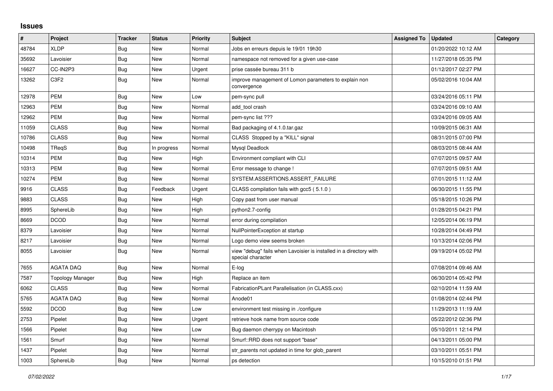## **Issues**

| ∦     | Project          | <b>Tracker</b> | <b>Status</b> | <b>Priority</b> | <b>Subject</b>                                                                          | <b>Assigned To</b> | <b>Updated</b>      | Category |
|-------|------------------|----------------|---------------|-----------------|-----------------------------------------------------------------------------------------|--------------------|---------------------|----------|
| 48784 | <b>XLDP</b>      | Bug            | New           | Normal          | Jobs en erreurs depuis le 19/01 19h30                                                   |                    | 01/20/2022 10:12 AM |          |
| 35692 | Lavoisier        | <b>Bug</b>     | <b>New</b>    | Normal          | namespace not removed for a given use-case                                              |                    | 11/27/2018 05:35 PM |          |
| 16627 | CC-IN2P3         | Bug            | <b>New</b>    | Urgent          | prise cassée bureau 311 b                                                               |                    | 01/12/2017 02:27 PM |          |
| 13262 | C <sub>3F2</sub> | Bug            | New           | Normal          | improve management of Lomon parameters to explain non<br>convergence                    |                    | 05/02/2016 10:04 AM |          |
| 12978 | <b>PEM</b>       | Bug            | New           | Low             | pem-sync pull                                                                           |                    | 03/24/2016 05:11 PM |          |
| 12963 | <b>PEM</b>       | <b>Bug</b>     | <b>New</b>    | Normal          | add tool crash                                                                          |                    | 03/24/2016 09:10 AM |          |
| 12962 | <b>PEM</b>       | <b>Bug</b>     | <b>New</b>    | Normal          | pem-sync list ???                                                                       |                    | 03/24/2016 09:05 AM |          |
| 11059 | <b>CLASS</b>     | <b>Bug</b>     | New           | Normal          | Bad packaging of 4.1.0.tar.gaz                                                          |                    | 10/09/2015 06:31 AM |          |
| 10786 | <b>CLASS</b>     | Bug            | <b>New</b>    | Normal          | CLASS Stopped by a "KILL" signal                                                        |                    | 08/31/2015 07:00 PM |          |
| 10498 | <b>TReqS</b>     | <b>Bug</b>     | In progress   | Normal          | Mysql Deadlock                                                                          |                    | 08/03/2015 08:44 AM |          |
| 10314 | PEM              | Bug            | New           | High            | Environment compliant with CLI                                                          |                    | 07/07/2015 09:57 AM |          |
| 10313 | <b>PEM</b>       | Bug            | <b>New</b>    | Normal          | Error message to change !                                                               |                    | 07/07/2015 09:51 AM |          |
| 10274 | <b>PEM</b>       | <b>Bug</b>     | New           | Normal          | SYSTEM.ASSERTIONS.ASSERT_FAILURE                                                        |                    | 07/01/2015 11:12 AM |          |
| 9916  | <b>CLASS</b>     | Bug            | Feedback      | Urgent          | CLASS compilation fails with gcc5 (5.1.0)                                               |                    | 06/30/2015 11:55 PM |          |
| 9883  | <b>CLASS</b>     | Bug            | <b>New</b>    | High            | Copy past from user manual                                                              |                    | 05/18/2015 10:26 PM |          |
| 8995  | SphereLib        | <b>Bug</b>     | <b>New</b>    | High            | python2.7-config                                                                        |                    | 01/28/2015 04:21 PM |          |
| 8669  | <b>DCOD</b>      | Bug            | New           | Normal          | error during compilation                                                                |                    | 12/05/2014 06:19 PM |          |
| 8379  | Lavoisier        | Bug            | <b>New</b>    | Normal          | NullPointerException at startup                                                         |                    | 10/28/2014 04:49 PM |          |
| 8217  | Lavoisier        | <b>Bug</b>     | <b>New</b>    | Normal          | Logo demo view seems broken                                                             |                    | 10/13/2014 02:06 PM |          |
| 8055  | Lavoisier        | Bug            | New           | Normal          | view "debug" fails when Lavoisier is installed in a directory with<br>special character |                    | 09/19/2014 05:02 PM |          |
| 7655  | <b>AGATA DAQ</b> | Bug            | <b>New</b>    | Normal          | E-log                                                                                   |                    | 07/08/2014 09:46 AM |          |
| 7587  | Topology Manager | <b>Bug</b>     | New           | High            | Replace an item                                                                         |                    | 06/30/2014 05:42 PM |          |
| 6062  | <b>CLASS</b>     | <b>Bug</b>     | <b>New</b>    | Normal          | FabricationPLant Parallelisation (in CLASS.cxx)                                         |                    | 02/10/2014 11:59 AM |          |
| 5765  | <b>AGATA DAQ</b> | Bug            | New           | Normal          | Anode01                                                                                 |                    | 01/08/2014 02:44 PM |          |
| 5592  | <b>DCOD</b>      | <b>Bug</b>     | New           | Low             | environment test missing in ./configure                                                 |                    | 11/29/2013 11:19 AM |          |
| 2753  | Pipelet          | <b>Bug</b>     | New           | Urgent          | retrieve hook name from source code                                                     |                    | 05/22/2012 02:36 PM |          |
| 1566  | Pipelet          | Bug            | New           | Low             | Bug daemon cherrypy on Macintosh                                                        |                    | 05/10/2011 12:14 PM |          |
| 1561  | Smurf            | Bug            | New           | Normal          | Smurf::RRD does not support "base"                                                      |                    | 04/13/2011 05:00 PM |          |
| 1437  | Pipelet          | <b>Bug</b>     | <b>New</b>    | Normal          | str_parents not updated in time for glob_parent                                         |                    | 03/10/2011 05:51 PM |          |
| 1003  | SphereLib        | <b>Bug</b>     | New           | Normal          | ps detection                                                                            |                    | 10/15/2010 01:51 PM |          |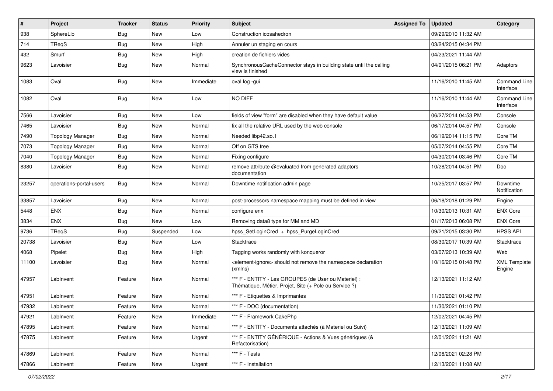| $\sharp$ | Project                 | Tracker    | <b>Status</b> | <b>Priority</b> | <b>Subject</b>                                                                                                 | <b>Assigned To</b> | <b>Updated</b>      | Category                      |
|----------|-------------------------|------------|---------------|-----------------|----------------------------------------------------------------------------------------------------------------|--------------------|---------------------|-------------------------------|
| 938      | SphereLib               | <b>Bug</b> | New           | Low             | Construction icosahedron                                                                                       |                    | 09/29/2010 11:32 AM |                               |
| 714      | TReqS                   | <b>Bug</b> | <b>New</b>    | High            | Annuler un staging en cours                                                                                    |                    | 03/24/2015 04:34 PM |                               |
| 432      | Smurf                   | <b>Bug</b> | New           | High            | creation de fichiers vides                                                                                     |                    | 04/23/2021 11:44 AM |                               |
| 9623     | Lavoisier               | <b>Bug</b> | New           | Normal          | SynchronousCacheConnector stays in building state until the calling<br>view is finished                        |                    | 04/01/2015 06:21 PM | Adaptors                      |
| 1083     | Oval                    | <b>Bug</b> | New           | Immediate       | oval log -gui                                                                                                  |                    | 11/16/2010 11:45 AM | Command Line<br>Interface     |
| 1082     | Oval                    | Bug        | New           | Low             | NO DIFF                                                                                                        |                    | 11/16/2010 11:44 AM | Command Line<br>Interface     |
| 7566     | Lavoisier               | <b>Bug</b> | <b>New</b>    | Low             | fields of view "form" are disabled when they have default value                                                |                    | 06/27/2014 04:53 PM | Console                       |
| 7465     | Lavoisier               | <b>Bug</b> | New           | Normal          | fix all the relative URL used by the web console                                                               |                    | 06/17/2014 04:57 PM | Console                       |
| 7490     | <b>Topology Manager</b> | <b>Bug</b> | <b>New</b>    | Normal          | Needed libp42.so.1                                                                                             |                    | 06/19/2014 11:15 PM | Core TM                       |
| 7073     | <b>Topology Manager</b> | <b>Bug</b> | New           | Normal          | Off on GTS tree                                                                                                |                    | 05/07/2014 04:55 PM | Core TM                       |
| 7040     | <b>Topology Manager</b> | <b>Bug</b> | New           | Normal          | Fixing configure                                                                                               |                    | 04/30/2014 03:46 PM | Core TM                       |
| 8380     | Lavoisier               | <b>Bug</b> | New           | Normal          | remove attribute @evaluated from generated adaptors<br>documentation                                           |                    | 10/28/2014 04:51 PM | Doc                           |
| 23257    | operations-portal-users | Bug        | New           | Normal          | Downtime notification admin page                                                                               |                    | 10/25/2017 03:57 PM | Downtime<br>Notification      |
| 33857    | Lavoisier               | <b>Bug</b> | <b>New</b>    | Normal          | post-processors namespace mapping must be defined in view                                                      |                    | 06/18/2018 01:29 PM | Engine                        |
| 5448     | <b>ENX</b>              | <b>Bug</b> | New           | Normal          | configure enx                                                                                                  |                    | 10/30/2013 10:31 AM | <b>ENX Core</b>               |
| 3834     | <b>ENX</b>              | <b>Bug</b> | <b>New</b>    | Low             | Removing data8 type for MM and MD                                                                              |                    | 01/17/2013 06:08 PM | <b>ENX Core</b>               |
| 9736     | TReqS                   | <b>Bug</b> | Suspended     | Low             | hpss SetLoginCred + hpss PurgeLoginCred                                                                        |                    | 09/21/2015 03:30 PM | <b>HPSS API</b>               |
| 20738    | Lavoisier               | <b>Bug</b> | <b>New</b>    | Low             | Stacktrace                                                                                                     |                    | 08/30/2017 10:39 AM | Stacktrace                    |
| 4068     | Pipelet                 | <b>Bug</b> | New           | High            | Tagging works randomly with konqueror                                                                          |                    | 03/07/2013 10:39 AM | Web                           |
| 11100    | Lavoisier               | <b>Bug</b> | New           | Normal          | <element-ignore> should not remove the namespace declaration<br/>(xmlns)</element-ignore>                      |                    | 10/16/2015 01:48 PM | <b>XML Template</b><br>Engine |
| 47957    | LabInvent               | Feature    | <b>New</b>    | Normal          | *** F - ENTITY - Les GROUPES (de User ou Materiel) :<br>Thématique, Métier, Projet, Site (+ Pole ou Service ?) |                    | 12/13/2021 11:12 AM |                               |
| 47951    | LabInvent               | Feature    | <b>New</b>    | Normal          | *** F - Etiquettes & Imprimantes                                                                               |                    | 11/30/2021 01:42 PM |                               |
| 47932    | LabInvent               | Feature    | <b>New</b>    | Normal          | *** F - DOC (documentation)                                                                                    |                    | 11/30/2021 01:10 PM |                               |
| 47921    | LabInvent               | Feature    | New           | Immediate       | *** F - Framework CakePhp                                                                                      |                    | 12/02/2021 04:45 PM |                               |
| 47895    | LabInvent               | Feature    | New           | Normal          | *** F - ENTITY - Documents attachés (à Materiel ou Suivi)                                                      |                    | 12/13/2021 11:09 AM |                               |
| 47875    | LabInvent               | Feature    | New           | Urgent          | *** F - ENTITY GÉNÉRIQUE - Actions & Vues génériques (&<br>Refactorisation)                                    |                    | 12/01/2021 11:21 AM |                               |
| 47869    | LabInvent               | Feature    | New           | Normal          | *** F - Tests                                                                                                  |                    | 12/06/2021 02:28 PM |                               |
| 47866    | LabInvent               | Feature    | New           | Urgent          | *** F - Installation                                                                                           |                    | 12/13/2021 11:08 AM |                               |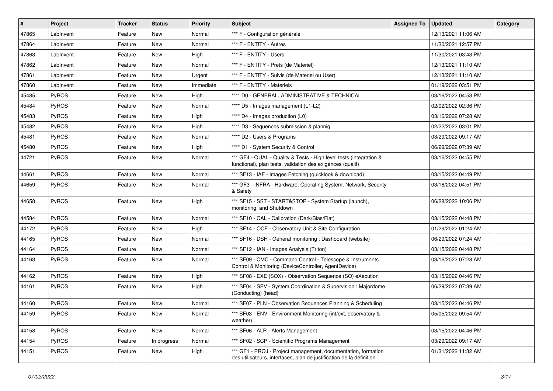| $\vert$ # | Project      | <b>Tracker</b> | <b>Status</b> | <b>Priority</b> | <b>Subject</b>                                                                                                                        | <b>Assigned To</b> | <b>Updated</b>      | <b>Category</b> |
|-----------|--------------|----------------|---------------|-----------------|---------------------------------------------------------------------------------------------------------------------------------------|--------------------|---------------------|-----------------|
| 47865     | LabInvent    | Feature        | New           | Normal          | *** F - Configuration générale                                                                                                        |                    | 12/13/2021 11:06 AM |                 |
| 47864     | LabInvent    | Feature        | <b>New</b>    | Normal          | *** F - ENTITY - Autres                                                                                                               |                    | 11/30/2021 12:57 PM |                 |
| 47863     | LabInvent    | Feature        | New           | High            | *** F - ENTITY - Users                                                                                                                |                    | 11/30/2021 03:43 PM |                 |
| 47862     | LabInvent    | Feature        | New           | Normal          | *** F - ENTITY - Prets (de Materiel)                                                                                                  |                    | 12/13/2021 11:10 AM |                 |
| 47861     | LabInvent    | Feature        | New           | Urgent          | *** F - ENTITY - Suivis (de Materiel ou User)                                                                                         |                    | 12/13/2021 11:10 AM |                 |
| 47860     | LabInvent    | Feature        | New           | Immediate       | *** F - ENTITY - Materiels                                                                                                            |                    | 01/19/2022 03:51 PM |                 |
| 45485     | PyROS        | Feature        | New           | High            | **** D0 - GENERAL, ADMINISTRATIVE & TECHNICAL                                                                                         |                    | 03/16/2022 04:53 PM |                 |
| 45484     | <b>PyROS</b> | Feature        | New           | Normal          | **** D5 - Images management (L1-L2)                                                                                                   |                    | 02/02/2022 02:36 PM |                 |
| 45483     | PyROS        | Feature        | New           | High            | **** D4 - Images production (L0)                                                                                                      |                    | 03/16/2022 07:28 AM |                 |
| 45482     | PyROS        | Feature        | New           | High            | **** D3 - Sequences submission & plannig                                                                                              |                    | 02/22/2022 03:01 PM |                 |
| 45481     | <b>PyROS</b> | Feature        | New           | Normal          | **** D2 - Users & Programs                                                                                                            |                    | 03/29/2022 09:17 AM |                 |
| 45480     | PyROS        | Feature        | New           | High            | **** D1 - System Security & Control                                                                                                   |                    | 06/29/2022 07:39 AM |                 |
| 44721     | PyROS        | Feature        | New           | Normal          | *** GF4 - QUAL - Quality & Tests - High level tests (integration &<br>functional), plan tests, validation des exigences (qualif)      |                    | 03/16/2022 04:55 PM |                 |
| 44661     | PyROS        | Feature        | <b>New</b>    | Normal          | *** SF13 - IAF - Images Fetching (quicklook & download)                                                                               |                    | 03/15/2022 04:49 PM |                 |
| 44659     | <b>PyROS</b> | Feature        | New           | Normal          | *** GF3 - INFRA - Hardware, Operating System, Network, Security<br>& Safety                                                           |                    | 03/16/2022 04:51 PM |                 |
| 44658     | PyROS        | Feature        | <b>New</b>    | High            | *** SF15 - SST - START&STOP - System Startup (launch),<br>monitoring, and Shutdown                                                    |                    | 06/28/2022 10:06 PM |                 |
| 44584     | PyROS        | Feature        | New           | Normal          | *** SF10 - CAL - Calibration (Dark/Bias/Flat)                                                                                         |                    | 03/15/2022 04:48 PM |                 |
| 44172     | <b>PyROS</b> | Feature        | New           | High            | *** SF14 - OCF - Observatory Unit & Site Configuration                                                                                |                    | 01/29/2022 01:24 AM |                 |
| 44165     | <b>PyROS</b> | Feature        | New           | Normal          | *** SF16 - DSH - General monitoring: Dashboard (website)                                                                              |                    | 06/29/2022 07:24 AM |                 |
| 44164     | PyROS        | Feature        | New           | Normal          | *** SF12 - IAN - Images Analysis (Triton)                                                                                             |                    | 03/15/2022 04:48 PM |                 |
| 44163     | <b>PyROS</b> | Feature        | New           | Normal          | *** SF09 - CMC - Command Control - Telescope & Instruments<br>Control & Monitoring (DeviceController, AgentDevice)                    |                    | 03/16/2022 07:28 AM |                 |
| 44162     | PyROS        | Feature        | <b>New</b>    | High            | *** SF08 - EXE (SOX) - Observation Sequence (SO) eXecution                                                                            |                    | 03/15/2022 04:46 PM |                 |
| 44161     | PyROS        | Feature        | New           | High            | *** SF04 - SPV - System Coordination & Supervision : Majordome<br>(Conducting) (head)                                                 |                    | 06/29/2022 07:39 AM |                 |
| 44160     | PyROS        | Feature        | <b>New</b>    | Normal          | *** SF07 - PLN - Observation Sequences Planning & Scheduling                                                                          |                    | 03/15/2022 04:46 PM |                 |
| 44159     | PyROS        | Feature        | New           | Normal          | *** SF03 - ENV - Environment Monitoring (int/ext, observatory &<br>weather)                                                           |                    | 05/05/2022 09:54 AM |                 |
| 44158     | PyROS        | Feature        | New           | Normal          | *** SF06 - ALR - Alerts Management                                                                                                    |                    | 03/15/2022 04:46 PM |                 |
| 44154     | PyROS        | Feature        | In progress   | Normal          | *** SF02 - SCP - Scientific Programs Management                                                                                       |                    | 03/29/2022 09:17 AM |                 |
| 44151     | PyROS        | Feature        | New           | High            | *** GF1 - PROJ - Project management, documentation, formation<br>des utilisateurs, interfaces, plan de justification de la définition |                    | 01/31/2022 11:32 AM |                 |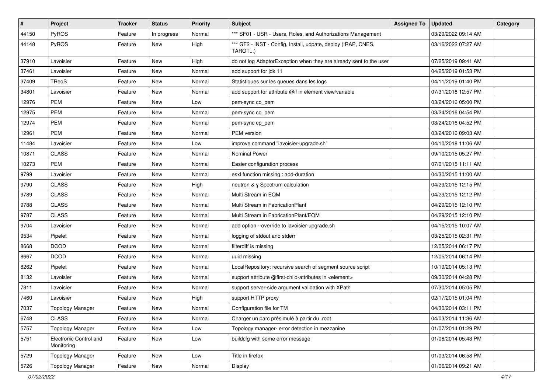| #     | Project                              | <b>Tracker</b> | <b>Status</b> | <b>Priority</b> | Subject                                                                 | <b>Assigned To</b> | <b>Updated</b>      | Category |
|-------|--------------------------------------|----------------|---------------|-----------------|-------------------------------------------------------------------------|--------------------|---------------------|----------|
| 44150 | PyROS                                | Feature        | In progress   | Normal          | *** SF01 - USR - Users, Roles, and Authorizations Management            |                    | 03/29/2022 09:14 AM |          |
| 44148 | PyROS                                | Feature        | <b>New</b>    | High            | *** GF2 - INST - Config, Install, udpate, deploy (IRAP, CNES,<br>TAROT) |                    | 03/16/2022 07:27 AM |          |
| 37910 | Lavoisier                            | Feature        | <b>New</b>    | High            | do not log AdaptorException when they are already sent to the user      |                    | 07/25/2019 09:41 AM |          |
| 37461 | Lavoisier                            | Feature        | <b>New</b>    | Normal          | add support for jdk 11                                                  |                    | 04/25/2019 01:53 PM |          |
| 37409 | TReqS                                | Feature        | <b>New</b>    | Normal          | Statistiques sur les queues dans les logs                               |                    | 04/11/2019 01:40 PM |          |
| 34801 | Lavoisier                            | Feature        | New           | Normal          | add support for attribute @if in element view/variable                  |                    | 07/31/2018 12:57 PM |          |
| 12976 | <b>PEM</b>                           | Feature        | New           | Low             | pem-sync co_pem                                                         |                    | 03/24/2016 05:00 PM |          |
| 12975 | <b>PEM</b>                           | Feature        | New           | Normal          | pem-sync co_pem                                                         |                    | 03/24/2016 04:54 PM |          |
| 12974 | <b>PEM</b>                           | Feature        | <b>New</b>    | Normal          | pem-sync cp_pem                                                         |                    | 03/24/2016 04:52 PM |          |
| 12961 | <b>PEM</b>                           | Feature        | New           | Normal          | PEM version                                                             |                    | 03/24/2016 09:03 AM |          |
| 11484 | Lavoisier                            | Feature        | New           | Low             | improve command "lavoisier-upgrade.sh"                                  |                    | 04/10/2018 11:06 AM |          |
| 10871 | <b>CLASS</b>                         | Feature        | <b>New</b>    | Normal          | Nominal Power                                                           |                    | 09/10/2015 05:27 PM |          |
| 10273 | <b>PEM</b>                           | Feature        | New           | Normal          | Easier configuration process                                            |                    | 07/01/2015 11:11 AM |          |
| 9799  | Lavoisier                            | Feature        | <b>New</b>    | Normal          | esxl function missing : add-duration                                    |                    | 04/30/2015 11:00 AM |          |
| 9790  | <b>CLASS</b>                         | Feature        | New           | High            | neutron & γ Spectrum calculation                                        |                    | 04/29/2015 12:15 PM |          |
| 9789  | <b>CLASS</b>                         | Feature        | New           | Normal          | Multi Stream in EQM                                                     |                    | 04/29/2015 12:12 PM |          |
| 9788  | <b>CLASS</b>                         | Feature        | <b>New</b>    | Normal          | Multi Stream in FabricationPlant                                        |                    | 04/29/2015 12:10 PM |          |
| 9787  | <b>CLASS</b>                         | Feature        | New           | Normal          | Multi Stream in FabricationPlant/EQM                                    |                    | 04/29/2015 12:10 PM |          |
| 9704  | Lavoisier                            | Feature        | <b>New</b>    | Normal          | add option --override to lavoisier-upgrade.sh                           |                    | 04/15/2015 10:07 AM |          |
| 9534  | Pipelet                              | Feature        | New           | Normal          | logging of stdout and stderr                                            |                    | 03/25/2015 02:31 PM |          |
| 8668  | <b>DCOD</b>                          | Feature        | <b>New</b>    | Normal          | filterdiff is missing                                                   |                    | 12/05/2014 06:17 PM |          |
| 8667  | <b>DCOD</b>                          | Feature        | <b>New</b>    | Normal          | uuid missing                                                            |                    | 12/05/2014 06:14 PM |          |
| 8262  | Pipelet                              | Feature        | New           | Normal          | LocalRepository: recursive search of segment source script              |                    | 10/19/2014 05:13 PM |          |
| 8132  | Lavoisier                            | Feature        | New           | Normal          | support attribute @first-child-attributes in <element></element>        |                    | 09/30/2014 04:28 PM |          |
| 7811  | Lavoisier                            | Feature        | New           | Normal          | support server-side argument validation with XPath                      |                    | 07/30/2014 05:05 PM |          |
| 7460  | Lavoisier                            | Feature        | New           | High            | support HTTP proxy                                                      |                    | 02/17/2015 01:04 PM |          |
| 7037  | <b>Topology Manager</b>              | Feature        | New           | Normal          | Configuration file for TM                                               |                    | 04/30/2014 03:11 PM |          |
| 6748  | <b>CLASS</b>                         | Feature        | New           | Normal          | Charger un parc présimulé à partir du .root                             |                    | 04/03/2014 11:36 AM |          |
| 5757  | <b>Topology Manager</b>              | Feature        | New           | Low             | Topology manager- error detection in mezzanine                          |                    | 01/07/2014 01:29 PM |          |
| 5751  | Electronic Control and<br>Monitoring | Feature        | New           | Low             | buildcfg with some error message                                        |                    | 01/06/2014 05:43 PM |          |
| 5729  | <b>Topology Manager</b>              | Feature        | New           | Low             | Title in firefox                                                        |                    | 01/03/2014 06:58 PM |          |
| 5726  | <b>Topology Manager</b>              | Feature        | New           | Normal          | Display                                                                 |                    | 01/06/2014 09:21 AM |          |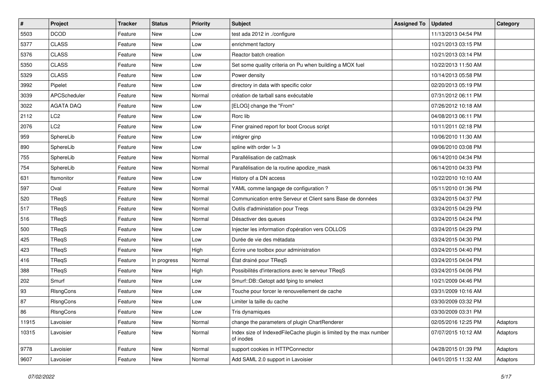| #     | Project          | <b>Tracker</b> | <b>Status</b> | <b>Priority</b> | <b>Subject</b>                                                                  | <b>Assigned To</b> | <b>Updated</b>      | Category |
|-------|------------------|----------------|---------------|-----------------|---------------------------------------------------------------------------------|--------------------|---------------------|----------|
| 5503  | <b>DCOD</b>      | Feature        | New           | Low             | test ada 2012 in ./configure                                                    |                    | 11/13/2013 04:54 PM |          |
| 5377  | <b>CLASS</b>     | Feature        | <b>New</b>    | Low             | enrichment factory                                                              |                    | 10/21/2013 03:15 PM |          |
| 5376  | <b>CLASS</b>     | Feature        | New           | Low             | Reactor batch creation                                                          |                    | 10/21/2013 03:14 PM |          |
| 5350  | <b>CLASS</b>     | Feature        | <b>New</b>    | Low             | Set some quality criteria on Pu when building a MOX fuel                        |                    | 10/22/2013 11:50 AM |          |
| 5329  | <b>CLASS</b>     | Feature        | New           | Low             | Power density                                                                   |                    | 10/14/2013 05:58 PM |          |
| 3992  | Pipelet          | Feature        | <b>New</b>    | Low             | directory in data with specific color                                           |                    | 02/20/2013 05:19 PM |          |
| 3039  | APCScheduler     | Feature        | <b>New</b>    | Normal          | création de tarball sans exécutable                                             |                    | 07/31/2012 06:11 PM |          |
| 3022  | <b>AGATA DAQ</b> | Feature        | New           | Low             | [ELOG] change the "From"                                                        |                    | 07/26/2012 10:18 AM |          |
| 2112  | LC <sub>2</sub>  | Feature        | New           | Low             | Rorc lib                                                                        |                    | 04/08/2013 06:11 PM |          |
| 2076  | LC <sub>2</sub>  | Feature        | <b>New</b>    | Low             | Finer grained report for boot Crocus script                                     |                    | 10/11/2011 02:18 PM |          |
| 959   | SphereLib        | Feature        | New           | Low             | intégrer ginp                                                                   |                    | 10/06/2010 11:30 AM |          |
| 890   | SphereLib        | Feature        | <b>New</b>    | Low             | spline with order $!= 3$                                                        |                    | 09/06/2010 03:08 PM |          |
| 755   | SphereLib        | Feature        | New           | Normal          | Parallélisation de cat2mask                                                     |                    | 06/14/2010 04:34 PM |          |
| 754   | SphereLib        | Feature        | New           | Normal          | Parallélisation de la routine apodize_mask                                      |                    | 06/14/2010 04:33 PM |          |
| 631   | ftsmonitor       | Feature        | <b>New</b>    | Low             | History of a DN access                                                          |                    | 10/22/2010 10:10 AM |          |
| 597   | Oval             | Feature        | New           | Normal          | YAML comme langage de configuration ?                                           |                    | 05/11/2010 01:36 PM |          |
| 520   | TReqS            | Feature        | <b>New</b>    | Normal          | Communication entre Serveur et Client sans Base de données                      |                    | 03/24/2015 04:37 PM |          |
| 517   | TReqS            | Feature        | New           | Normal          | Outils d'administation pour Treqs                                               |                    | 03/24/2015 04:29 PM |          |
| 516   | TReqS            | Feature        | New           | Normal          | Désactiver des queues                                                           |                    | 03/24/2015 04:24 PM |          |
| 500   | TReqS            | Feature        | <b>New</b>    | Low             | Injecter les information d'opération vers COLLOS                                |                    | 03/24/2015 04:29 PM |          |
| 425   | TReqS            | Feature        | New           | Low             | Durée de vie des métadata                                                       |                    | 03/24/2015 04:30 PM |          |
| 423   | TReqS            | Feature        | New           | High            | Écrire une toolbox pour administration                                          |                    | 03/24/2015 04:40 PM |          |
| 416   | TReqS            | Feature        | In progress   | Normal          | État drainé pour TReqS                                                          |                    | 03/24/2015 04:04 PM |          |
| 388   | TReqS            | Feature        | <b>New</b>    | High            | Possibilités d'interactions avec le serveur TReqS                               |                    | 03/24/2015 04:06 PM |          |
| 202   | Smurf            | Feature        | <b>New</b>    | Low             | Smurf::DB::Getopt add fping to smelect                                          |                    | 10/21/2009 04:46 PM |          |
| 93    | RIsngCons        | Feature        | New           | Low             | Touche pour forcer le renouvellement de cache                                   |                    | 03/31/2009 10:16 AM |          |
| 87    | RIsngCons        | Feature        | New           | Low             | Limiter la taille du cache                                                      |                    | 03/30/2009 03:32 PM |          |
| 86    | RIsngCons        | Feature        | New           | Low             | Tris dynamiques                                                                 |                    | 03/30/2009 03:31 PM |          |
| 11915 | Lavoisier        | Feature        | New           | Normal          | change the parameters of plugin ChartRenderer                                   |                    | 02/05/2016 12:25 PM | Adaptors |
| 10315 | Lavoisier        | Feature        | New           | Normal          | Index size of IndexedFileCache plugin is limited by the max number<br>of inodes |                    | 07/07/2015 10:12 AM | Adaptors |
| 9778  | Lavoisier        | Feature        | New           | Normal          | support cookies in HTTPConnector                                                |                    | 04/28/2015 01:39 PM | Adaptors |
| 9607  | Lavoisier        | Feature        | New           | Normal          | Add SAML 2.0 support in Lavoisier                                               |                    | 04/01/2015 11:32 AM | Adaptors |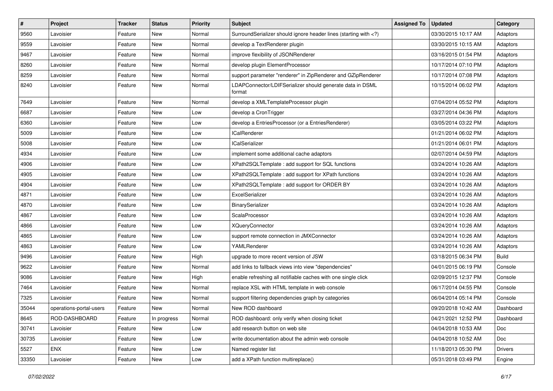| #     | Project                 | <b>Tracker</b> | <b>Status</b> | <b>Priority</b> | <b>Subject</b>                                                                                                              | <b>Assigned To</b> | <b>Updated</b>      | Category       |
|-------|-------------------------|----------------|---------------|-----------------|-----------------------------------------------------------------------------------------------------------------------------|--------------------|---------------------|----------------|
| 9560  | Lavoisier               | Feature        | New           | Normal          | SurroundSerializer should ignore header lines (starting with )</td <td></td> <td>03/30/2015 10:17 AM</td> <td>Adaptors</td> |                    | 03/30/2015 10:17 AM | Adaptors       |
| 9559  | Lavoisier               | Feature        | New           | Normal          | develop a TextRenderer plugin                                                                                               |                    | 03/30/2015 10:15 AM | Adaptors       |
| 9467  | Lavoisier               | Feature        | New           | Normal          | improve flexibility of JSONRenderer                                                                                         |                    | 03/16/2015 01:54 PM | Adaptors       |
| 8260  | Lavoisier               | Feature        | New           | Normal          | develop plugin ElementProcessor                                                                                             |                    | 10/17/2014 07:10 PM | Adaptors       |
| 8259  | Lavoisier               | Feature        | New           | Normal          | support parameter "renderer" in ZipRenderer and GZipRenderer                                                                |                    | 10/17/2014 07:08 PM | Adaptors       |
| 8240  | Lavoisier               | Feature        | New           | Normal          | LDAPConnector/LDIFSerializer should generate data in DSML<br>format                                                         |                    | 10/15/2014 06:02 PM | Adaptors       |
| 7649  | Lavoisier               | Feature        | New           | Normal          | develop a XMLTemplateProcessor plugin                                                                                       |                    | 07/04/2014 05:52 PM | Adaptors       |
| 6687  | Lavoisier               | Feature        | New           | Low             | develop a CronTrigger                                                                                                       |                    | 03/27/2014 04:36 PM | Adaptors       |
| 6360  | Lavoisier               | Feature        | New           | Low             | develop a EntriesProcessor (or a EntriesRenderer)                                                                           |                    | 03/05/2014 03:22 PM | Adaptors       |
| 5009  | Lavoisier               | Feature        | New           | Low             | ICalRenderer                                                                                                                |                    | 01/21/2014 06:02 PM | Adaptors       |
| 5008  | Lavoisier               | Feature        | New           | Low             | <b>ICalSerializer</b>                                                                                                       |                    | 01/21/2014 06:01 PM | Adaptors       |
| 4934  | Lavoisier               | Feature        | New           | Low             | implement some additional cache adaptors                                                                                    |                    | 02/07/2014 04:59 PM | Adaptors       |
| 4906  | Lavoisier               | Feature        | New           | Low             | XPath2SQLTemplate : add support for SQL functions                                                                           |                    | 03/24/2014 10:26 AM | Adaptors       |
| 4905  | Lavoisier               | Feature        | New           | Low             | XPath2SQLTemplate : add support for XPath functions                                                                         |                    | 03/24/2014 10:26 AM | Adaptors       |
| 4904  | Lavoisier               | Feature        | New           | Low             | XPath2SQLTemplate: add support for ORDER BY                                                                                 |                    | 03/24/2014 10:26 AM | Adaptors       |
| 4871  | Lavoisier               | Feature        | New           | Low             | ExcelSerializer                                                                                                             |                    | 03/24/2014 10:26 AM | Adaptors       |
| 4870  | Lavoisier               | Feature        | New           | Low             | BinarySerializer                                                                                                            |                    | 03/24/2014 10:26 AM | Adaptors       |
| 4867  | Lavoisier               | Feature        | New           | Low             | ScalaProcessor                                                                                                              |                    | 03/24/2014 10:26 AM | Adaptors       |
| 4866  | Lavoisier               | Feature        | New           | Low             | <b>XQueryConnector</b>                                                                                                      |                    | 03/24/2014 10:26 AM | Adaptors       |
| 4865  | Lavoisier               | Feature        | New           | Low             | support remote connection in JMXConnector                                                                                   |                    | 03/24/2014 10:26 AM | Adaptors       |
| 4863  | Lavoisier               | Feature        | New           | Low             | YAMLRenderer                                                                                                                |                    | 03/24/2014 10:26 AM | Adaptors       |
| 9496  | Lavoisier               | Feature        | New           | High            | upgrade to more recent version of JSW                                                                                       |                    | 03/18/2015 06:34 PM | <b>Build</b>   |
| 9622  | Lavoisier               | Feature        | New           | Normal          | add links to fallback views into view "dependencies"                                                                        |                    | 04/01/2015 06:19 PM | Console        |
| 9086  | Lavoisier               | Feature        | New           | High            | enable refreshing all notifiable caches with one single click                                                               |                    | 02/09/2015 12:37 PM | Console        |
| 7464  | Lavoisier               | Feature        | New           | Normal          | replace XSL with HTML template in web console                                                                               |                    | 06/17/2014 04:55 PM | Console        |
| 7325  | Lavoisier               | Feature        | New           | Normal          | support filtering dependencies graph by categories                                                                          |                    | 06/04/2014 05:14 PM | Console        |
| 35044 | operations-portal-users | Feature        | New           | Normal          | New ROD dashboard                                                                                                           |                    | 09/20/2018 10:42 AM | Dashboard      |
| 8645  | ROD-DASHBOARD           | Feature        | In progress   | Normal          | ROD dashboard: only verify when closing ticket                                                                              |                    | 04/21/2021 12:52 PM | Dashboard      |
| 30741 | Lavoisier               | Feature        | New           | Low             | add research button on web site                                                                                             |                    | 04/04/2018 10:53 AM | Doc            |
| 30735 | Lavoisier               | Feature        | New           | Low             | write documentation about the admin web console                                                                             |                    | 04/04/2018 10:52 AM | Doc            |
| 5527  | ENX                     | Feature        | New           | Low             | Named register list                                                                                                         |                    | 11/18/2013 05:30 PM | <b>Drivers</b> |
| 33350 | Lavoisier               | Feature        | New           | Low             | add a XPath function multireplace()                                                                                         |                    | 05/31/2018 03:49 PM | Engine         |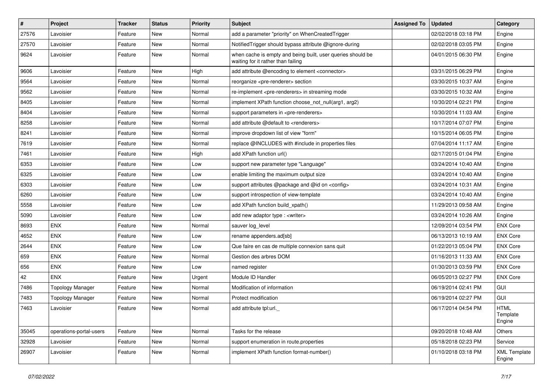| $\vert$ # | Project                 | <b>Tracker</b> | <b>Status</b> | <b>Priority</b> | <b>Subject</b>                                                                                    | <b>Assigned To</b> | <b>Updated</b>      | Category                          |
|-----------|-------------------------|----------------|---------------|-----------------|---------------------------------------------------------------------------------------------------|--------------------|---------------------|-----------------------------------|
| 27576     | Lavoisier               | Feature        | New           | Normal          | add a parameter "priority" on WhenCreatedTrigger                                                  |                    | 02/02/2018 03:18 PM | Engine                            |
| 27570     | Lavoisier               | Feature        | New           | Normal          | NotifiedTrigger should bypass attribute @ignore-during                                            |                    | 02/02/2018 03:05 PM | Engine                            |
| 9624      | Lavoisier               | Feature        | New           | Normal          | when cache is empty and being built, user queries should be<br>waiting for it rather than failing |                    | 04/01/2015 06:30 PM | Engine                            |
| 9606      | Lavoisier               | Feature        | New           | High            | add attribute @encoding to element <connector></connector>                                        |                    | 03/31/2015 06:29 PM | Engine                            |
| 9564      | Lavoisier               | Feature        | New           | Normal          | reorganize <pre-renderer> section</pre-renderer>                                                  |                    | 03/30/2015 10:37 AM | Engine                            |
| 9562      | Lavoisier               | Feature        | New           | Normal          | re-implement <pre-renderers> in streaming mode</pre-renderers>                                    |                    | 03/30/2015 10:32 AM | Engine                            |
| 8405      | Lavoisier               | Feature        | New           | Normal          | implement XPath function choose not null(arg1, arg2)                                              |                    | 10/30/2014 02:21 PM | Engine                            |
| 8404      | Lavoisier               | Feature        | New           | Normal          | support parameters in <pre-renderers></pre-renderers>                                             |                    | 10/30/2014 11:03 AM | Engine                            |
| 8258      | Lavoisier               | Feature        | New           | Normal          | add attribute @default to <renderers></renderers>                                                 |                    | 10/17/2014 07:07 PM | Engine                            |
| 8241      | Lavoisier               | Feature        | New           | Normal          | improve dropdown list of view "form"                                                              |                    | 10/15/2014 06:05 PM | Engine                            |
| 7619      | Lavoisier               | Feature        | New           | Normal          | replace @INCLUDES with #include in properties files                                               |                    | 07/04/2014 11:17 AM | Engine                            |
| 7461      | Lavoisier               | Feature        | New           | High            | add XPath function url()                                                                          |                    | 02/17/2015 01:04 PM | Engine                            |
| 6353      | Lavoisier               | Feature        | New           | Low             | support new parameter type "Language"                                                             |                    | 03/24/2014 10:40 AM | Engine                            |
| 6325      | Lavoisier               | Feature        | New           | Low             | enable limiting the maximum output size                                                           |                    | 03/24/2014 10:40 AM | Engine                            |
| 6303      | Lavoisier               | Feature        | New           | Low             | support attributes @package and @id on <config></config>                                          |                    | 03/24/2014 10:31 AM | Engine                            |
| 6260      | Lavoisier               | Feature        | New           | Low             | support introspection of view-template                                                            |                    | 03/24/2014 10:40 AM | Engine                            |
| 5558      | Lavoisier               | Feature        | New           | Low             | add XPath function build_xpath()                                                                  |                    | 11/29/2013 09:58 AM | Engine                            |
| 5090      | Lavoisier               | Feature        | New           | Low             | add new adaptor type : < writer >                                                                 |                    | 03/24/2014 10:26 AM | Engine                            |
| 8693      | <b>ENX</b>              | Feature        | <b>New</b>    | Normal          | sauver log_level                                                                                  |                    | 12/09/2014 03:54 PM | <b>ENX Core</b>                   |
| 4652      | <b>ENX</b>              | Feature        | New           | Low             | rename appenders.ad[sb]                                                                           |                    | 06/13/2013 10:19 AM | <b>ENX Core</b>                   |
| 2644      | <b>ENX</b>              | Feature        | New           | Low             | Que faire en cas de multiple connexion sans quit                                                  |                    | 01/22/2013 05:04 PM | <b>ENX Core</b>                   |
| 659       | <b>ENX</b>              | Feature        | New           | Normal          | Gestion des arbres DOM                                                                            |                    | 01/16/2013 11:33 AM | <b>ENX Core</b>                   |
| 656       | <b>ENX</b>              | Feature        | New           | Low             | named register                                                                                    |                    | 01/30/2013 03:59 PM | <b>ENX Core</b>                   |
| 42        | <b>ENX</b>              | Feature        | New           | Urgent          | Module ID Handler                                                                                 |                    | 06/05/2013 02:27 PM | <b>ENX Core</b>                   |
| 7486      | <b>Topology Manager</b> | Feature        | New           | Normal          | Modification of information                                                                       |                    | 06/19/2014 02:41 PM | GUI                               |
| 7483      | <b>Topology Manager</b> | Feature        | New           | Normal          | Protect modification                                                                              |                    | 06/19/2014 02:27 PM | GUI                               |
| 7463      | Lavoisier               | Feature        | New           | Normal          | add attribute tpl:url.                                                                            |                    | 06/17/2014 04:54 PM | <b>HTML</b><br>Template<br>Engine |
| 35045     | operations-portal-users | Feature        | New           | Normal          | Tasks for the release                                                                             |                    | 09/20/2018 10:48 AM | Others                            |
| 32928     | Lavoisier               | Feature        | New           | Normal          | support enumeration in route.properties                                                           |                    | 05/18/2018 02:23 PM | Service                           |
| 26907     | Lavoisier               | Feature        | New           | Normal          | implement XPath function format-number()                                                          |                    | 01/10/2018 03:18 PM | <b>XML Template</b><br>Engine     |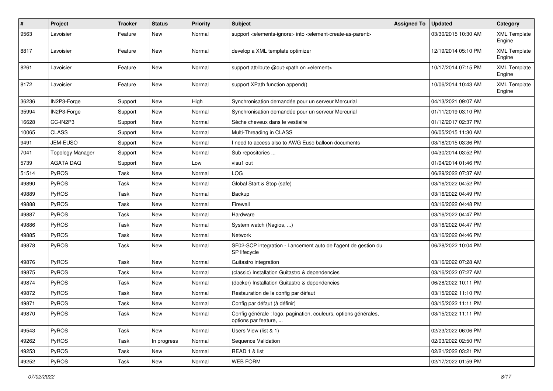| #     | Project                 | <b>Tracker</b> | <b>Status</b> | <b>Priority</b> | <b>Subject</b>                                                                                         | <b>Assigned To</b> | <b>Updated</b>      | Category                      |
|-------|-------------------------|----------------|---------------|-----------------|--------------------------------------------------------------------------------------------------------|--------------------|---------------------|-------------------------------|
| 9563  | Lavoisier               | Feature        | New           | Normal          | support <elements-ignore> into <element-create-as-parent></element-create-as-parent></elements-ignore> |                    | 03/30/2015 10:30 AM | <b>XML Template</b><br>Engine |
| 8817  | Lavoisier               | Feature        | <b>New</b>    | Normal          | develop a XML template optimizer                                                                       |                    | 12/19/2014 05:10 PM | <b>XML Template</b><br>Engine |
| 8261  | Lavoisier               | Feature        | <b>New</b>    | Normal          | support attribute @out-xpath on <element></element>                                                    |                    | 10/17/2014 07:15 PM | <b>XML Template</b><br>Engine |
| 8172  | Lavoisier               | Feature        | <b>New</b>    | Normal          | support XPath function append()                                                                        |                    | 10/06/2014 10:43 AM | <b>XML Template</b><br>Engine |
| 36236 | IN2P3-Forge             | Support        | <b>New</b>    | High            | Synchronisation demandée pour un serveur Mercurial                                                     |                    | 04/13/2021 09:07 AM |                               |
| 35994 | IN2P3-Forge             | Support        | New           | Normal          | Synchronisation demandée pour un serveur Mercurial                                                     |                    | 01/11/2019 03:10 PM |                               |
| 16628 | CC-IN2P3                | Support        | New           | Normal          | Sèche cheveux dans le vestiaire                                                                        |                    | 01/12/2017 02:37 PM |                               |
| 10065 | <b>CLASS</b>            | Support        | New           | Normal          | Multi-Threading in CLASS                                                                               |                    | 06/05/2015 11:30 AM |                               |
| 9491  | JEM-EUSO                | Support        | New           | Normal          | I need to access also to AWG Euso balloon documents                                                    |                    | 03/18/2015 03:36 PM |                               |
| 7041  | <b>Topology Manager</b> | Support        | New           | Normal          | Sub repositories                                                                                       |                    | 04/30/2014 03:52 PM |                               |
| 5739  | <b>AGATA DAQ</b>        | Support        | New           | Low             | visu1 out                                                                                              |                    | 01/04/2014 01:46 PM |                               |
| 51514 | PyROS                   | Task           | New           | Normal          | LOG                                                                                                    |                    | 06/29/2022 07:37 AM |                               |
| 49890 | PyROS                   | Task           | New           | Normal          | Global Start & Stop (safe)                                                                             |                    | 03/16/2022 04:52 PM |                               |
| 49889 | PyROS                   | Task           | <b>New</b>    | Normal          | Backup                                                                                                 |                    | 03/16/2022 04:49 PM |                               |
| 49888 | PyROS                   | Task           | New           | Normal          | Firewall                                                                                               |                    | 03/16/2022 04:48 PM |                               |
| 49887 | PyROS                   | Task           | <b>New</b>    | Normal          | Hardware                                                                                               |                    | 03/16/2022 04:47 PM |                               |
| 49886 | PyROS                   | Task           | New           | Normal          | System watch (Nagios, )                                                                                |                    | 03/16/2022 04:47 PM |                               |
| 49885 | PyROS                   | Task           | New           | Normal          | <b>Network</b>                                                                                         |                    | 03/16/2022 04:46 PM |                               |
| 49878 | PyROS                   | Task           | New           | Normal          | SF02-SCP integration - Lancement auto de l'agent de gestion du<br>SP lifecycle                         |                    | 06/28/2022 10:04 PM |                               |
| 49876 | PyROS                   | Task           | <b>New</b>    | Normal          | Guitastro integration                                                                                  |                    | 03/16/2022 07:28 AM |                               |
| 49875 | PyROS                   | Task           | New           | Normal          | (classic) Installation Guitastro & dependencies                                                        |                    | 03/16/2022 07:27 AM |                               |
| 49874 | PyROS                   | Task           | <b>New</b>    | Normal          | (docker) Installation Guitastro & dependencies                                                         |                    | 06/28/2022 10:11 PM |                               |
| 49872 | PyROS                   | Task           | <b>New</b>    | Normal          | Restauration de la config par défaut                                                                   |                    | 03/15/2022 11:10 PM |                               |
| 49871 | PyROS                   | Task           | New           | Normal          | Config par défaut (à définir)                                                                          |                    | 03/15/2022 11:11 PM |                               |
| 49870 | PyROS                   | Task           | New           | Normal          | Config générale : logo, pagination, couleurs, options générales,<br>options par feature,               |                    | 03/15/2022 11:11 PM |                               |
| 49543 | PyROS                   | Task           | New           | Normal          | Users View (list & 1)                                                                                  |                    | 02/23/2022 06:06 PM |                               |
| 49262 | PyROS                   | Task           | In progress   | Normal          | Sequence Validation                                                                                    |                    | 02/03/2022 02:50 PM |                               |
| 49253 | PyROS                   | Task           | New           | Normal          | READ 1 & list                                                                                          |                    | 02/21/2022 03:21 PM |                               |
| 49252 | PyROS                   | Task           | New           | Normal          | <b>WEB FORM</b>                                                                                        |                    | 02/17/2022 01:59 PM |                               |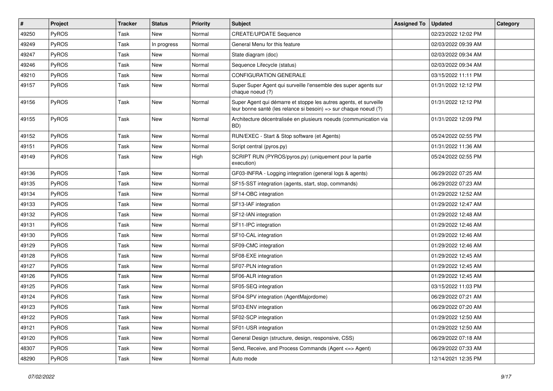| #     | Project      | <b>Tracker</b> | <b>Status</b> | <b>Priority</b> | Subject                                                                                                                               | <b>Assigned To</b> | <b>Updated</b>      | Category |
|-------|--------------|----------------|---------------|-----------------|---------------------------------------------------------------------------------------------------------------------------------------|--------------------|---------------------|----------|
| 49250 | PyROS        | Task           | <b>New</b>    | Normal          | <b>CREATE/UPDATE Sequence</b>                                                                                                         |                    | 02/23/2022 12:02 PM |          |
| 49249 | PyROS        | Task           | In progress   | Normal          | General Menu for this feature                                                                                                         |                    | 02/03/2022 09:39 AM |          |
| 49247 | <b>PyROS</b> | Task           | New           | Normal          | State diagram (doc)                                                                                                                   |                    | 02/03/2022 09:34 AM |          |
| 49246 | PyROS        | Task           | <b>New</b>    | Normal          | Sequence Lifecycle (status)                                                                                                           |                    | 02/03/2022 09:34 AM |          |
| 49210 | PyROS        | Task           | <b>New</b>    | Normal          | <b>CONFIGURATION GENERALE</b>                                                                                                         |                    | 03/15/2022 11:11 PM |          |
| 49157 | PyROS        | Task           | New           | Normal          | Super Super Agent qui surveille l'ensemble des super agents sur<br>chaque noeud (?)                                                   |                    | 01/31/2022 12:12 PM |          |
| 49156 | PyROS        | Task           | <b>New</b>    | Normal          | Super Agent qui démarre et stoppe les autres agents, et surveille<br>leur bonne santé (les relance si besoin) => sur chaque noeud (?) |                    | 01/31/2022 12:12 PM |          |
| 49155 | PyROS        | Task           | <b>New</b>    | Normal          | Architecture décentralisée en plusieurs noeuds (communication via<br>BD)                                                              |                    | 01/31/2022 12:09 PM |          |
| 49152 | PyROS        | Task           | <b>New</b>    | Normal          | RUN/EXEC - Start & Stop software (et Agents)                                                                                          |                    | 05/24/2022 02:55 PM |          |
| 49151 | PyROS        | Task           | <b>New</b>    | Normal          | Script central (pyros.py)                                                                                                             |                    | 01/31/2022 11:36 AM |          |
| 49149 | PyROS        | Task           | New           | High            | SCRIPT RUN (PYROS/pyros.py) (uniquement pour la partie<br>execution)                                                                  |                    | 05/24/2022 02:55 PM |          |
| 49136 | PyROS        | Task           | New           | Normal          | GF03-INFRA - Logging integration (general logs & agents)                                                                              |                    | 06/29/2022 07:25 AM |          |
| 49135 | PyROS        | Task           | <b>New</b>    | Normal          | SF15-SST integration (agents, start, stop, commands)                                                                                  |                    | 06/29/2022 07:23 AM |          |
| 49134 | PyROS        | Task           | <b>New</b>    | Normal          | SF14-OBC integration                                                                                                                  |                    | 01/29/2022 12:52 AM |          |
| 49133 | PyROS        | Task           | <b>New</b>    | Normal          | SF13-IAF integration                                                                                                                  |                    | 01/29/2022 12:47 AM |          |
| 49132 | PyROS        | Task           | <b>New</b>    | Normal          | SF12-IAN integration                                                                                                                  |                    | 01/29/2022 12:48 AM |          |
| 49131 | PyROS        | Task           | New           | Normal          | SF11-IPC integration                                                                                                                  |                    | 01/29/2022 12:46 AM |          |
| 49130 | PyROS        | Task           | New           | Normal          | SF10-CAL integration                                                                                                                  |                    | 01/29/2022 12:46 AM |          |
| 49129 | PyROS        | Task           | New           | Normal          | SF09-CMC integration                                                                                                                  |                    | 01/29/2022 12:46 AM |          |
| 49128 | PyROS        | Task           | New           | Normal          | SF08-EXE integration                                                                                                                  |                    | 01/29/2022 12:45 AM |          |
| 49127 | <b>PyROS</b> | Task           | New           | Normal          | SF07-PLN integration                                                                                                                  |                    | 01/29/2022 12:45 AM |          |
| 49126 | PyROS        | Task           | <b>New</b>    | Normal          | SF06-ALR integration                                                                                                                  |                    | 01/29/2022 12:45 AM |          |
| 49125 | PyROS        | Task           | New           | Normal          | SF05-SEQ integration                                                                                                                  |                    | 03/15/2022 11:03 PM |          |
| 49124 | PyROS        | Task           | <b>New</b>    | Normal          | SF04-SPV integration (AgentMajordome)                                                                                                 |                    | 06/29/2022 07:21 AM |          |
| 49123 | PyROS        | Task           | New           | Normal          | SF03-ENV integration                                                                                                                  |                    | 06/29/2022 07:20 AM |          |
| 49122 | PyROS        | Task           | New           | Normal          | SF02-SCP integration                                                                                                                  |                    | 01/29/2022 12:50 AM |          |
| 49121 | PyROS        | Task           | New           | Normal          | SF01-USR integration                                                                                                                  |                    | 01/29/2022 12:50 AM |          |
| 49120 | PyROS        | Task           | New           | Normal          | General Design (structure, design, responsive, CSS)                                                                                   |                    | 06/29/2022 07:18 AM |          |
| 48307 | PyROS        | Task           | New           | Normal          | Send, Receive, and Process Commands (Agent <= > Agent)                                                                                |                    | 06/29/2022 07:33 AM |          |
| 48290 | PyROS        | Task           | New           | Normal          | Auto mode                                                                                                                             |                    | 12/14/2021 12:35 PM |          |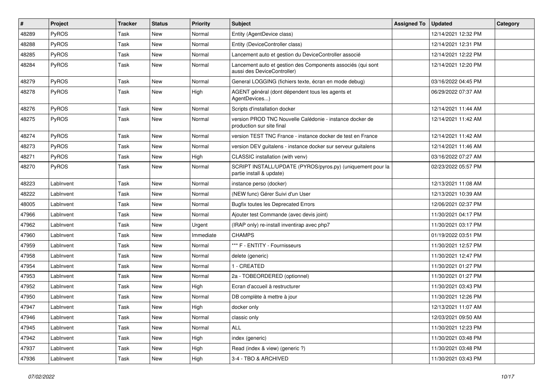| #     | Project      | Tracker | <b>Status</b> | <b>Priority</b> | Subject                                                                                    | <b>Assigned To</b> | <b>Updated</b>      | Category |
|-------|--------------|---------|---------------|-----------------|--------------------------------------------------------------------------------------------|--------------------|---------------------|----------|
| 48289 | <b>PyROS</b> | Task    | New           | Normal          | Entity (AgentDevice class)                                                                 |                    | 12/14/2021 12:32 PM |          |
| 48288 | PyROS        | Task    | New           | Normal          | Entity (DeviceController class)                                                            |                    | 12/14/2021 12:31 PM |          |
| 48285 | PyROS        | Task    | New           | Normal          | Lancement auto et gestion du DeviceController associé                                      |                    | 12/14/2021 12:22 PM |          |
| 48284 | PyROS        | Task    | <b>New</b>    | Normal          | Lancement auto et gestion des Components associés (qui sont<br>aussi des DeviceController) |                    | 12/14/2021 12:20 PM |          |
| 48279 | <b>PyROS</b> | Task    | New           | Normal          | General LOGGING (fichiers texte, écran en mode debug)                                      |                    | 03/16/2022 04:45 PM |          |
| 48278 | <b>PyROS</b> | Task    | New           | High            | AGENT général (dont dépendent tous les agents et<br>AgentDevices)                          |                    | 06/29/2022 07:37 AM |          |
| 48276 | PyROS        | Task    | New           | Normal          | Scripts d'installation docker                                                              |                    | 12/14/2021 11:44 AM |          |
| 48275 | <b>PyROS</b> | Task    | New           | Normal          | version PROD TNC Nouvelle Calédonie - instance docker de<br>production sur site final      |                    | 12/14/2021 11:42 AM |          |
| 48274 | PyROS        | Task    | New           | Normal          | version TEST TNC France - instance docker de test en France                                |                    | 12/14/2021 11:42 AM |          |
| 48273 | <b>PyROS</b> | Task    | New           | Normal          | version DEV guitalens - instance docker sur serveur guitalens                              |                    | 12/14/2021 11:46 AM |          |
| 48271 | <b>PyROS</b> | Task    | New           | High            | CLASSIC installation (with venv)                                                           |                    | 03/16/2022 07:27 AM |          |
| 48270 | PyROS        | Task    | New           | Normal          | SCRIPT INSTALL/UPDATE (PYROS/pyros.py) (uniquement pour la<br>partie install & update)     |                    | 02/23/2022 05:57 PM |          |
| 48223 | LabInvent    | Task    | New           | Normal          | instance perso (docker)                                                                    |                    | 12/13/2021 11:08 AM |          |
| 48222 | LabInvent    | Task    | <b>New</b>    | Normal          | (NEW func) Gérer Suivi d'un User                                                           |                    | 12/13/2021 10:39 AM |          |
| 48005 | LabInvent    | Task    | New           | Normal          | <b>Bugfix toutes les Deprecated Errors</b>                                                 |                    | 12/06/2021 02:37 PM |          |
| 47966 | LabInvent    | Task    | <b>New</b>    | Normal          | Ajouter test Commande (avec devis joint)                                                   |                    | 11/30/2021 04:17 PM |          |
| 47962 | LabInvent    | Task    | New           | Urgent          | (IRAP only) re-install inventirap avec php7                                                |                    | 11/30/2021 03:17 PM |          |
| 47960 | LabInvent    | Task    | <b>New</b>    | Immediate       | <b>CHAMPS</b>                                                                              |                    | 01/19/2022 03:51 PM |          |
| 47959 | LabInvent    | Task    | <b>New</b>    | Normal          | *** F - ENTITY - Fournisseurs                                                              |                    | 11/30/2021 12:57 PM |          |
| 47958 | LabInvent    | Task    | <b>New</b>    | Normal          | delete (generic)                                                                           |                    | 11/30/2021 12:47 PM |          |
| 47954 | LabInvent    | Task    | New           | Normal          | 1 - CREATED                                                                                |                    | 11/30/2021 01:27 PM |          |
| 47953 | LabInvent    | Task    | New           | Normal          | 2a - TOBEORDERED (optionnel)                                                               |                    | 11/30/2021 01:27 PM |          |
| 47952 | LabInvent    | Task    | New           | High            | Ecran d'accueil à restructurer                                                             |                    | 11/30/2021 03:43 PM |          |
| 47950 | LabInvent    | Task    | <b>New</b>    | Normal          | DB complète à mettre à jour                                                                |                    | 11/30/2021 12:26 PM |          |
| 47947 | LabInvent    | Task    | New           | High            | docker only                                                                                |                    | 12/13/2021 11:07 AM |          |
| 47946 | LabInvent    | Task    | New           | Normal          | classic only                                                                               |                    | 12/03/2021 09:50 AM |          |
| 47945 | LabInvent    | Task    | New           | Normal          | <b>ALL</b>                                                                                 |                    | 11/30/2021 12:23 PM |          |
| 47942 | LabInvent    | Task    | New           | High            | index (generic)                                                                            |                    | 11/30/2021 03:48 PM |          |
| 47937 | LabInvent    | Task    | New           | High            | Read (index & view) (generic ?)                                                            |                    | 11/30/2021 03:48 PM |          |
| 47936 | LabInvent    | Task    | New           | High            | 3-4 - TBO & ARCHIVED                                                                       |                    | 11/30/2021 03:43 PM |          |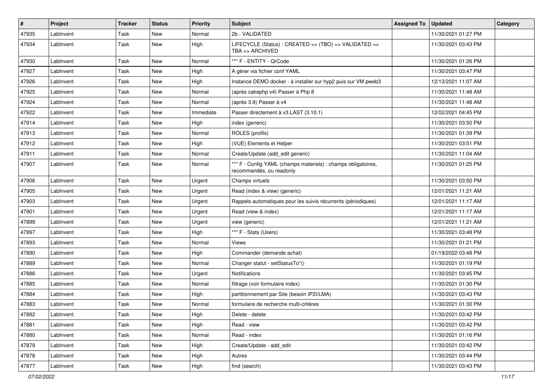| $\vert$ # | Project   | <b>Tracker</b> | <b>Status</b> | <b>Priority</b> | <b>Subject</b>                                                                            | <b>Assigned To</b> | <b>Updated</b>      | Category |
|-----------|-----------|----------------|---------------|-----------------|-------------------------------------------------------------------------------------------|--------------------|---------------------|----------|
| 47935     | LabInvent | Task           | New           | Normal          | 2b - VALIDATED                                                                            |                    | 11/30/2021 01:27 PM |          |
| 47934     | LabInvent | Task           | New           | High            | LIFECYCLE (Status) : CREATED => (TBO) => VALIDATED =><br>$TBA \equiv > ARCHIVED$          |                    | 11/30/2021 03:43 PM |          |
| 47930     | LabInvent | Task           | <b>New</b>    | Normal          | *** F - ENTITY - QrCode                                                                   |                    | 11/30/2021 01:26 PM |          |
| 47927     | Lablnvent | Task           | <b>New</b>    | High            | A gérer via fichier conf YAML                                                             |                    | 11/30/2021 03:47 PM |          |
| 47926     | LabInvent | Task           | New           | <b>High</b>     | Instance DEMO docker - à installer sur hyp2 puis sur VM pweb3                             |                    | 12/13/2021 11:07 AM |          |
| 47925     | LabInvent | Task           | New           | Normal          | (après cakephp v4) Passer à Php 8                                                         |                    | 11/30/2021 11:48 AM |          |
| 47924     | LabInvent | Task           | New           | Normal          | (après 3.9) Passer à v4                                                                   |                    | 11/30/2021 11:48 AM |          |
| 47922     | LabInvent | Task           | New           | Immediate       | Passer directement à v3.LAST (3.10.1)                                                     |                    | 12/02/2021 04:45 PM |          |
| 47914     | LabInvent | Task           | <b>New</b>    | High            | index (generic)                                                                           |                    | 11/30/2021 03:50 PM |          |
| 47913     | LabInvent | Task           | New           | Normal          | ROLES (profils)                                                                           |                    | 11/30/2021 01:39 PM |          |
| 47912     | LabInvent | Task           | New           | High            | (VUE) Elements et Helper                                                                  |                    | 11/30/2021 03:51 PM |          |
| 47911     | LabInvent | Task           | New           | Normal          | Create/Update (add_edit generic)                                                          |                    | 11/30/2021 11:04 AM |          |
| 47907     | LabInvent | Task           | New           | Normal          | *** F - Config YAML (champs materiels) : champs obligatoires,<br>recommandés, ou readonly |                    | 11/30/2021 01:25 PM |          |
| 47906     | LabInvent | Task           | New           | Urgent          | Champs virtuels                                                                           |                    | 11/30/2021 03:50 PM |          |
| 47905     | Lablnvent | Task           | New           | Urgent          | Read (index & view) (generic)                                                             |                    | 12/01/2021 11:21 AM |          |
| 47903     | Lablnvent | Task           | <b>New</b>    | Urgent          | Rappels automatiques pour les suivis récurrents (périodiques)                             |                    | 12/01/2021 11:17 AM |          |
| 47901     | LabInvent | Task           | New           | Urgent          | Read (view & index)                                                                       |                    | 12/01/2021 11:17 AM |          |
| 47899     | LabInvent | Task           | New           | Urgent          | view (generic)                                                                            |                    | 12/01/2021 11:21 AM |          |
| 47897     | LabInvent | Task           | New           | High            | *** F - Stats (Users)                                                                     |                    | 11/30/2021 03:48 PM |          |
| 47893     | LabInvent | Task           | New           | Normal          | <b>Views</b>                                                                              |                    | 11/30/2021 01:21 PM |          |
| 47890     | LabInvent | Task           | <b>New</b>    | High            | Commander (demande achat)                                                                 |                    | 01/19/2022 03:48 PM |          |
| 47889     | LabInvent | Task           | New           | Normal          | Changer statut - setStatusTo*()                                                           |                    | 11/30/2021 01:19 PM |          |
| 47886     | LabInvent | Task           | New           | Urgent          | Notifications                                                                             |                    | 11/30/2021 03:45 PM |          |
| 47885     | LabInvent | Task           | New           | Normal          | filtrage (voir formulaire index)                                                          |                    | 11/30/2021 01:30 PM |          |
| 47884     | LabInvent | Task           | New           | High            | partitionnement par Site (besoin IP2I/LMA)                                                |                    | 11/30/2021 03:43 PM |          |
| 47883     | LabInvent | Task           | <b>New</b>    | Normal          | formulaire de recherche multi-critères                                                    |                    | 11/30/2021 01:30 PM |          |
| 47882     | LabInvent | Task           | New           | High            | Delete - delete                                                                           |                    | 11/30/2021 03:42 PM |          |
| 47881     | LabInvent | Task           | New           | High            | Read - view                                                                               |                    | 11/30/2021 03:42 PM |          |
| 47880     | LabInvent | Task           | New           | Normal          | Read - index                                                                              |                    | 11/30/2021 01:16 PM |          |
| 47879     | LabInvent | Task           | New           | High            | Create/Update - add_edit                                                                  |                    | 11/30/2021 03:42 PM |          |
| 47878     | LabInvent | Task           | New           | High            | Autres                                                                                    |                    | 11/30/2021 03:44 PM |          |
| 47877     | LabInvent | Task           | New           | High            | find (search)                                                                             |                    | 11/30/2021 03:43 PM |          |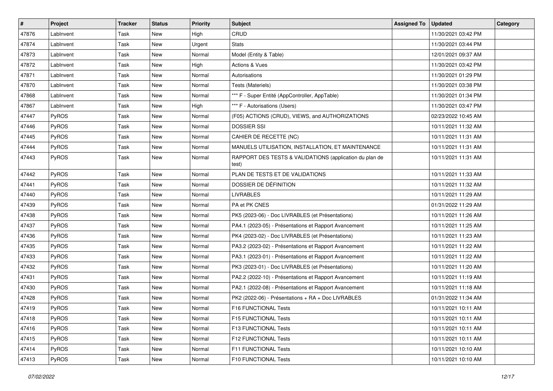| $\vert$ # | Project      | <b>Tracker</b> | <b>Status</b> | <b>Priority</b> | Subject                                                          | <b>Assigned To</b> | <b>Updated</b>      | <b>Category</b> |
|-----------|--------------|----------------|---------------|-----------------|------------------------------------------------------------------|--------------------|---------------------|-----------------|
| 47876     | LabInvent    | Task           | <b>New</b>    | High            | CRUD                                                             |                    | 11/30/2021 03:42 PM |                 |
| 47874     | LabInvent    | Task           | New           | Urgent          | <b>Stats</b>                                                     |                    | 11/30/2021 03:44 PM |                 |
| 47873     | LabInvent    | Task           | New           | Normal          | Model (Entity & Table)                                           |                    | 12/01/2021 09:37 AM |                 |
| 47872     | LabInvent    | Task           | New           | High            | Actions & Vues                                                   |                    | 11/30/2021 03:42 PM |                 |
| 47871     | LabInvent    | Task           | <b>New</b>    | Normal          | Autorisations                                                    |                    | 11/30/2021 01:29 PM |                 |
| 47870     | LabInvent    | Task           | New           | Normal          | Tests (Materiels)                                                |                    | 11/30/2021 03:38 PM |                 |
| 47868     | LabInvent    | Task           | <b>New</b>    | Normal          | *** F - Super Entité (AppController, AppTable)                   |                    | 11/30/2021 01:34 PM |                 |
| 47867     | LabInvent    | Task           | New           | High            | *** F - Autorisations (Users)                                    |                    | 11/30/2021 03:47 PM |                 |
| 47447     | PyROS        | Task           | New           | Normal          | (F05) ACTIONS (CRUD), VIEWS, and AUTHORIZATIONS                  |                    | 02/23/2022 10:45 AM |                 |
| 47446     | <b>PyROS</b> | Task           | New           | Normal          | <b>DOSSIER SSI</b>                                               |                    | 10/11/2021 11:32 AM |                 |
| 47445     | PyROS        | Task           | New           | Normal          | CAHIER DE RECETTE (NC)                                           |                    | 10/11/2021 11:31 AM |                 |
| 47444     | <b>PyROS</b> | Task           | New           | Normal          | MANUELS UTILISATION, INSTALLATION, ET MAINTENANCE                |                    | 10/11/2021 11:31 AM |                 |
| 47443     | PyROS        | Task           | New           | Normal          | RAPPORT DES TESTS & VALIDATIONS (application du plan de<br>test) |                    | 10/11/2021 11:31 AM |                 |
| 47442     | PyROS        | Task           | New           | Normal          | PLAN DE TESTS ET DE VALIDATIONS                                  |                    | 10/11/2021 11:33 AM |                 |
| 47441     | <b>PyROS</b> | Task           | New           | Normal          | DOSSIER DE DÉFINITION                                            |                    | 10/11/2021 11:32 AM |                 |
| 47440     | PyROS        | Task           | New           | Normal          | <b>LIVRABLES</b>                                                 |                    | 10/11/2021 11:29 AM |                 |
| 47439     | PyROS        | Task           | New           | Normal          | PA et PK CNES                                                    |                    | 01/31/2022 11:29 AM |                 |
| 47438     | <b>PyROS</b> | Task           | New           | Normal          | PK5 (2023-06) - Doc LIVRABLES (et Présentations)                 |                    | 10/11/2021 11:26 AM |                 |
| 47437     | PyROS        | Task           | <b>New</b>    | Normal          | PA4.1 (2023-05) - Présentations et Rapport Avancement            |                    | 10/11/2021 11:25 AM |                 |
| 47436     | <b>PyROS</b> | Task           | New           | Normal          | PK4 (2023-02) - Doc LIVRABLES (et Présentations)                 |                    | 10/11/2021 11:23 AM |                 |
| 47435     | PyROS        | Task           | <b>New</b>    | Normal          | PA3.2 (2023-02) - Présentations et Rapport Avancement            |                    | 10/11/2021 11:22 AM |                 |
| 47433     | PyROS        | Task           | <b>New</b>    | Normal          | PA3.1 (2023-01) - Présentations et Rapport Avancement            |                    | 10/11/2021 11:22 AM |                 |
| 47432     | PyROS        | Task           | New           | Normal          | PK3 (2023-01) - Doc LIVRABLES (et Présentations)                 |                    | 10/11/2021 11:20 AM |                 |
| 47431     | PyROS        | Task           | <b>New</b>    | Normal          | PA2.2 (2022-10) - Présentations et Rapport Avancement            |                    | 10/11/2021 11:19 AM |                 |
| 47430     | PyROS        | Task           | New           | Normal          | PA2.1 (2022-08) - Présentations et Rapport Avancement            |                    | 10/11/2021 11:18 AM |                 |
| 47428     | <b>PyROS</b> | Task           | <b>New</b>    | Normal          | PK2 (2022-06) - Présentations + RA + Doc LIVRABLES               |                    | 01/31/2022 11:34 AM |                 |
| 47419     | PyROS        | Task           | <b>New</b>    | Normal          | F16 FUNCTIONAL Tests                                             |                    | 10/11/2021 10:11 AM |                 |
| 47418     | <b>PyROS</b> | Task           | New           | Normal          | F15 FUNCTIONAL Tests                                             |                    | 10/11/2021 10:11 AM |                 |
| 47416     | <b>PyROS</b> | Task           | New           | Normal          | F13 FUNCTIONAL Tests                                             |                    | 10/11/2021 10:11 AM |                 |
| 47415     | <b>PyROS</b> | Task           | New           | Normal          | F12 FUNCTIONAL Tests                                             |                    | 10/11/2021 10:11 AM |                 |
| 47414     | PyROS        | Task           | New           | Normal          | F11 FUNCTIONAL Tests                                             |                    | 10/11/2021 10:10 AM |                 |
| 47413     | PyROS        | Task           | New           | Normal          | F10 FUNCTIONAL Tests                                             |                    | 10/11/2021 10:10 AM |                 |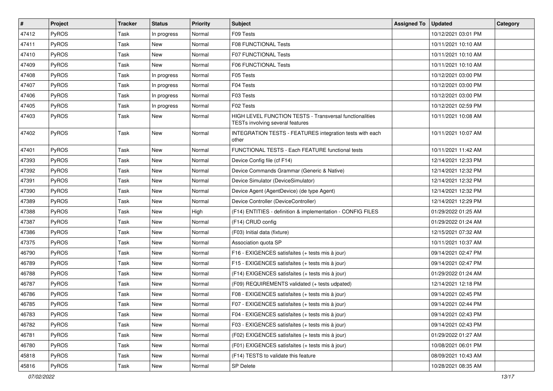| $\vert$ # | Project      | <b>Tracker</b> | <b>Status</b> | <b>Priority</b> | Subject                                                                                     | <b>Assigned To</b> | <b>Updated</b>      | Category |
|-----------|--------------|----------------|---------------|-----------------|---------------------------------------------------------------------------------------------|--------------------|---------------------|----------|
| 47412     | <b>PyROS</b> | Task           | In progress   | Normal          | F09 Tests                                                                                   |                    | 10/12/2021 03:01 PM |          |
| 47411     | PyROS        | Task           | New           | Normal          | F08 FUNCTIONAL Tests                                                                        |                    | 10/11/2021 10:10 AM |          |
| 47410     | <b>PyROS</b> | Task           | New           | Normal          | <b>F07 FUNCTIONAL Tests</b>                                                                 |                    | 10/11/2021 10:10 AM |          |
| 47409     | <b>PyROS</b> | Task           | New           | Normal          | F06 FUNCTIONAL Tests                                                                        |                    | 10/11/2021 10:10 AM |          |
| 47408     | PyROS        | Task           | In progress   | Normal          | F05 Tests                                                                                   |                    | 10/12/2021 03:00 PM |          |
| 47407     | <b>PyROS</b> | Task           | In progress   | Normal          | F04 Tests                                                                                   |                    | 10/12/2021 03:00 PM |          |
| 47406     | <b>PyROS</b> | Task           | In progress   | Normal          | F03 Tests                                                                                   |                    | 10/12/2021 03:00 PM |          |
| 47405     | PyROS        | Task           | In progress   | Normal          | F02 Tests                                                                                   |                    | 10/12/2021 02:59 PM |          |
| 47403     | PyROS        | Task           | New           | Normal          | HIGH LEVEL FUNCTION TESTS - Transversal functionalities<br>TESTs involving several features |                    | 10/11/2021 10:08 AM |          |
| 47402     | PyROS        | Task           | <b>New</b>    | Normal          | INTEGRATION TESTS - FEATURES integration tests with each<br>other                           |                    | 10/11/2021 10:07 AM |          |
| 47401     | PyROS        | Task           | <b>New</b>    | Normal          | FUNCTIONAL TESTS - Each FEATURE functional tests                                            |                    | 10/11/2021 11:42 AM |          |
| 47393     | <b>PyROS</b> | Task           | <b>New</b>    | Normal          | Device Config file (cf F14)                                                                 |                    | 12/14/2021 12:33 PM |          |
| 47392     | <b>PyROS</b> | Task           | <b>New</b>    | Normal          | Device Commands Grammar (Generic & Native)                                                  |                    | 12/14/2021 12:32 PM |          |
| 47391     | PyROS        | Task           | New           | Normal          | Device Simulator (DeviceSimulator)                                                          |                    | 12/14/2021 12:32 PM |          |
| 47390     | PyROS        | Task           | New           | Normal          | Device Agent (AgentDevice) (de type Agent)                                                  |                    | 12/14/2021 12:32 PM |          |
| 47389     | PyROS        | Task           | New           | Normal          | Device Controller (DeviceController)                                                        |                    | 12/14/2021 12:29 PM |          |
| 47388     | PyROS        | Task           | New           | High            | (F14) ENTITIES - definition & implementation - CONFIG FILES                                 |                    | 01/29/2022 01:25 AM |          |
| 47387     | <b>PyROS</b> | Task           | New           | Normal          | (F14) CRUD config                                                                           |                    | 01/29/2022 01:24 AM |          |
| 47386     | PyROS        | Task           | New           | Normal          | (F03) Initial data (fixture)                                                                |                    | 12/15/2021 07:32 AM |          |
| 47375     | <b>PyROS</b> | Task           | <b>New</b>    | Normal          | Association quota SP                                                                        |                    | 10/11/2021 10:37 AM |          |
| 46790     | PyROS        | Task           | New           | Normal          | F16 - EXIGENCES satisfaites (+ tests mis à jour)                                            |                    | 09/14/2021 02:47 PM |          |
| 46789     | <b>PyROS</b> | Task           | New           | Normal          | F15 - EXIGENCES satisfaites (+ tests mis à jour)                                            |                    | 09/14/2021 02:47 PM |          |
| 46788     | PyROS        | Task           | New           | Normal          | (F14) EXIGENCES satisfaites (+ tests mis à jour)                                            |                    | 01/29/2022 01:24 AM |          |
| 46787     | PyROS        | Task           | New           | Normal          | (F09) REQUIREMENTS validated (+ tests udpated)                                              |                    | 12/14/2021 12:18 PM |          |
| 46786     | <b>PyROS</b> | Task           | New           | Normal          | F08 - EXIGENCES satisfaites (+ tests mis à jour)                                            |                    | 09/14/2021 02:45 PM |          |
| 46785     | PyROS        | Task           | <b>New</b>    | Normal          | F07 - EXIGENCES satisfaites (+ tests mis à jour)                                            |                    | 09/14/2021 02:44 PM |          |
| 46783     | PyROS        | Task           | New           | Normal          | F04 - EXIGENCES satisfaites (+ tests mis à jour)                                            |                    | 09/14/2021 02:43 PM |          |
| 46782     | <b>PyROS</b> | Task           | New           | Normal          | F03 - EXIGENCES satisfaites (+ tests mis à jour)                                            |                    | 09/14/2021 02:43 PM |          |
| 46781     | PyROS        | Task           | New           | Normal          | (F02) EXIGENCES satisfaites (+ tests mis à jour)                                            |                    | 01/29/2022 01:27 AM |          |
| 46780     | PyROS        | Task           | New           | Normal          | (F01) EXIGENCES satisfaites (+ tests mis à jour)                                            |                    | 10/08/2021 06:01 PM |          |
| 45818     | PyROS        | Task           | New           | Normal          | (F14) TESTS to validate this feature                                                        |                    | 08/09/2021 10:43 AM |          |
| 45816     | PyROS        | Task           | New           | Normal          | SP Delete                                                                                   |                    | 10/28/2021 08:35 AM |          |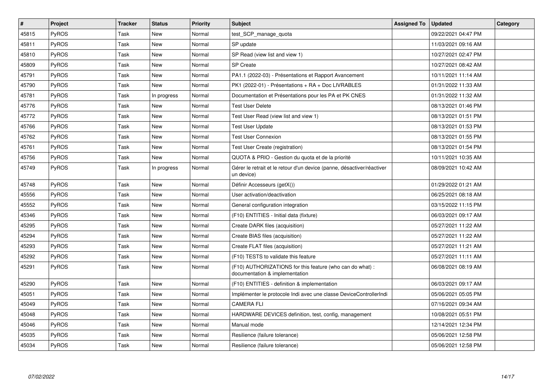| $\pmb{\#}$ | Project      | <b>Tracker</b> | <b>Status</b> | <b>Priority</b> | <b>Subject</b>                                                                              | <b>Assigned To</b> | <b>Updated</b>      | Category |
|------------|--------------|----------------|---------------|-----------------|---------------------------------------------------------------------------------------------|--------------------|---------------------|----------|
| 45815      | <b>PyROS</b> | Task           | <b>New</b>    | Normal          | test_SCP_manage_quota                                                                       |                    | 09/22/2021 04:47 PM |          |
| 45811      | PyROS        | Task           | <b>New</b>    | Normal          | SP update                                                                                   |                    | 11/03/2021 09:16 AM |          |
| 45810      | <b>PyROS</b> | Task           | <b>New</b>    | Normal          | SP Read (view list and view 1)                                                              |                    | 10/27/2021 02:47 PM |          |
| 45809      | PyROS        | Task           | <b>New</b>    | Normal          | <b>SP Create</b>                                                                            |                    | 10/27/2021 08:42 AM |          |
| 45791      | PyROS        | Task           | <b>New</b>    | Normal          | PA1.1 (2022-03) - Présentations et Rapport Avancement                                       |                    | 10/11/2021 11:14 AM |          |
| 45790      | <b>PyROS</b> | Task           | <b>New</b>    | Normal          | PK1 (2022-01) - Présentations + RA + Doc LIVRABLES                                          |                    | 01/31/2022 11:33 AM |          |
| 45781      | <b>PyROS</b> | Task           | In progress   | Normal          | Documentation et Présentations pour les PA et PK CNES                                       |                    | 01/31/2022 11:32 AM |          |
| 45776      | <b>PyROS</b> | Task           | New           | Normal          | Test User Delete                                                                            |                    | 08/13/2021 01:46 PM |          |
| 45772      | PyROS        | Task           | <b>New</b>    | Normal          | Test User Read (view list and view 1)                                                       |                    | 08/13/2021 01:51 PM |          |
| 45766      | <b>PyROS</b> | Task           | <b>New</b>    | Normal          | <b>Test User Update</b>                                                                     |                    | 08/13/2021 01:53 PM |          |
| 45762      | PyROS        | Task           | <b>New</b>    | Normal          | <b>Test User Connexion</b>                                                                  |                    | 08/13/2021 01:55 PM |          |
| 45761      | PyROS        | Task           | <b>New</b>    | Normal          | <b>Test User Create (registration)</b>                                                      |                    | 08/13/2021 01:54 PM |          |
| 45756      | <b>PyROS</b> | Task           | <b>New</b>    | Normal          | QUOTA & PRIO - Gestion du quota et de la priorité                                           |                    | 10/11/2021 10:35 AM |          |
| 45749      | <b>PyROS</b> | Task           | In progress   | Normal          | Gérer le retrait et le retour d'un device (panne, désactiver/réactiver<br>un device)        |                    | 08/09/2021 10:42 AM |          |
| 45748      | <b>PyROS</b> | Task           | <b>New</b>    | Normal          | Définir Accesseurs (getX())                                                                 |                    | 01/29/2022 01:21 AM |          |
| 45556      | PyROS        | Task           | <b>New</b>    | Normal          | User activation/deactivation                                                                |                    | 06/25/2021 08:18 AM |          |
| 45552      | <b>PyROS</b> | Task           | New           | Normal          | General configuration integration                                                           |                    | 03/15/2022 11:15 PM |          |
| 45346      | <b>PyROS</b> | Task           | New           | Normal          | (F10) ENTITIES - Initial data (fixture)                                                     |                    | 06/03/2021 09:17 AM |          |
| 45295      | PyROS        | Task           | <b>New</b>    | Normal          | Create DARK files (acquisition)                                                             |                    | 05/27/2021 11:22 AM |          |
| 45294      | <b>PyROS</b> | Task           | <b>New</b>    | Normal          | Create BIAS files (acquisition)                                                             |                    | 05/27/2021 11:22 AM |          |
| 45293      | <b>PyROS</b> | Task           | <b>New</b>    | Normal          | Create FLAT files (acquisition)                                                             |                    | 05/27/2021 11:21 AM |          |
| 45292      | <b>PyROS</b> | Task           | <b>New</b>    | Normal          | (F10) TESTS to validate this feature                                                        |                    | 05/27/2021 11:11 AM |          |
| 45291      | <b>PyROS</b> | Task           | <b>New</b>    | Normal          | (F10) AUTHORIZATIONS for this feature (who can do what) :<br>documentation & implementation |                    | 06/08/2021 08:19 AM |          |
| 45290      | PyROS        | Task           | <b>New</b>    | Normal          | (F10) ENTITIES - definition & implementation                                                |                    | 06/03/2021 09:17 AM |          |
| 45051      | PyROS        | Task           | New           | Normal          | Implémenter le protocole Indi avec une classe DeviceControllerIndi                          |                    | 05/06/2021 05:05 PM |          |
| 45049      | <b>PyROS</b> | Task           | New           | Normal          | <b>CAMERA FLI</b>                                                                           |                    | 07/16/2021 09:34 AM |          |
| 45048      | <b>PyROS</b> | Task           | <b>New</b>    | Normal          | HARDWARE DEVICES definition, test, config, management                                       |                    | 10/08/2021 05:51 PM |          |
| 45046      | <b>PyROS</b> | Task           | New           | Normal          | Manual mode                                                                                 |                    | 12/14/2021 12:34 PM |          |
| 45035      | PyROS        | Task           | <b>New</b>    | Normal          | Resilience (failure tolerance)                                                              |                    | 05/06/2021 12:58 PM |          |
| 45034      | PyROS        | Task           | <b>New</b>    | Normal          | Resilience (failure tolerance)                                                              |                    | 05/06/2021 12:58 PM |          |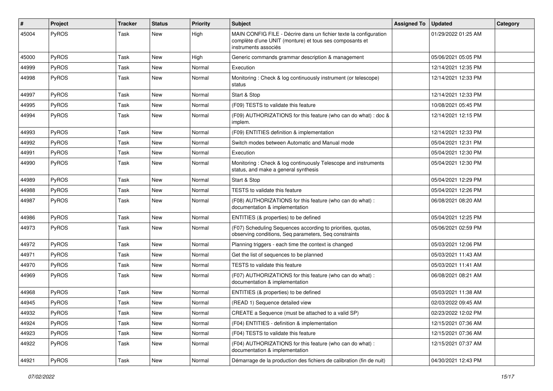| #     | <b>Project</b> | <b>Tracker</b> | <b>Status</b> | <b>Priority</b> | <b>Subject</b>                                                                                                                                       | <b>Assigned To</b> | <b>Updated</b>      | Category |
|-------|----------------|----------------|---------------|-----------------|------------------------------------------------------------------------------------------------------------------------------------------------------|--------------------|---------------------|----------|
| 45004 | PyROS          | Task           | New           | High            | MAIN CONFIG FILE - Décrire dans un fichier texte la configuration<br>complète d'une UNIT (monture) et tous ses composants et<br>instruments associés |                    | 01/29/2022 01:25 AM |          |
| 45000 | PyROS          | Task           | New           | High            | Generic commands grammar description & management                                                                                                    |                    | 05/06/2021 05:05 PM |          |
| 44999 | PyROS          | Task           | New           | Normal          | Execution                                                                                                                                            |                    | 12/14/2021 12:35 PM |          |
| 44998 | <b>PyROS</b>   | Task           | New           | Normal          | Monitoring: Check & log continuously instrument (or telescope)<br>status                                                                             |                    | 12/14/2021 12:33 PM |          |
| 44997 | <b>PyROS</b>   | Task           | New           | Normal          | Start & Stop                                                                                                                                         |                    | 12/14/2021 12:33 PM |          |
| 44995 | <b>PyROS</b>   | Task           | New           | Normal          | (F09) TESTS to validate this feature                                                                                                                 |                    | 10/08/2021 05:45 PM |          |
| 44994 | <b>PyROS</b>   | Task           | <b>New</b>    | Normal          | (F09) AUTHORIZATIONS for this feature (who can do what) : doc &<br>implem.                                                                           |                    | 12/14/2021 12:15 PM |          |
| 44993 | <b>PyROS</b>   | Task           | <b>New</b>    | Normal          | (F09) ENTITIES definition & implementation                                                                                                           |                    | 12/14/2021 12:33 PM |          |
| 44992 | PyROS          | Task           | New           | Normal          | Switch modes between Automatic and Manual mode                                                                                                       |                    | 05/04/2021 12:31 PM |          |
| 44991 | <b>PyROS</b>   | Task           | New           | Normal          | Execution                                                                                                                                            |                    | 05/04/2021 12:30 PM |          |
| 44990 | PyROS          | Task           | New           | Normal          | Monitoring: Check & log continuously Telescope and instruments<br>status, and make a general synthesis                                               |                    | 05/04/2021 12:30 PM |          |
| 44989 | PyROS          | Task           | <b>New</b>    | Normal          | Start & Stop                                                                                                                                         |                    | 05/04/2021 12:29 PM |          |
| 44988 | <b>PyROS</b>   | Task           | <b>New</b>    | Normal          | <b>TESTS</b> to validate this feature                                                                                                                |                    | 05/04/2021 12:26 PM |          |
| 44987 | <b>PyROS</b>   | Task           | New           | Normal          | (F08) AUTHORIZATIONS for this feature (who can do what) :<br>documentation & implementation                                                          |                    | 06/08/2021 08:20 AM |          |
| 44986 | PyROS          | Task           | <b>New</b>    | Normal          | ENTITIES (& properties) to be defined                                                                                                                |                    | 05/04/2021 12:25 PM |          |
| 44973 | <b>PyROS</b>   | Task           | New           | Normal          | (F07) Scheduling Sequences according to priorities, quotas,<br>observing conditions, Seq parameters, Seq constraints                                 |                    | 05/06/2021 02:59 PM |          |
| 44972 | <b>PyROS</b>   | Task           | New           | Normal          | Planning triggers - each time the context is changed                                                                                                 |                    | 05/03/2021 12:06 PM |          |
| 44971 | PyROS          | Task           | New           | Normal          | Get the list of sequences to be planned                                                                                                              |                    | 05/03/2021 11:43 AM |          |
| 44970 | <b>PyROS</b>   | Task           | <b>New</b>    | Normal          | TESTS to validate this feature                                                                                                                       |                    | 05/03/2021 11:41 AM |          |
| 44969 | <b>PyROS</b>   | Task           | New           | Normal          | (F07) AUTHORIZATIONS for this feature (who can do what):<br>documentation & implementation                                                           |                    | 06/08/2021 08:21 AM |          |
| 44968 | PyROS          | Task           | New           | Normal          | ENTITIES (& properties) to be defined                                                                                                                |                    | 05/03/2021 11:38 AM |          |
| 44945 | <b>PyROS</b>   | Task           | New           | Normal          | (READ 1) Sequence detailed view                                                                                                                      |                    | 02/03/2022 09:45 AM |          |
| 44932 | PyROS          | Task           | New           | Normal          | CREATE a Sequence (must be attached to a valid SP)                                                                                                   |                    | 02/23/2022 12:02 PM |          |
| 44924 | <b>PyROS</b>   | Task           | New           | Normal          | (F04) ENTITIES - definition & implementation                                                                                                         |                    | 12/15/2021 07:36 AM |          |
| 44923 | <b>PyROS</b>   | Task           | New           | Normal          | (F04) TESTS to validate this feature                                                                                                                 |                    | 12/15/2021 07:36 AM |          |
| 44922 | <b>PyROS</b>   | Task           | New           | Normal          | (F04) AUTHORIZATIONS for this feature (who can do what) :<br>documentation & implementation                                                          |                    | 12/15/2021 07:37 AM |          |
| 44921 | PyROS          | Task           | New           | Normal          | Démarrage de la production des fichiers de calibration (fin de nuit)                                                                                 |                    | 04/30/2021 12:43 PM |          |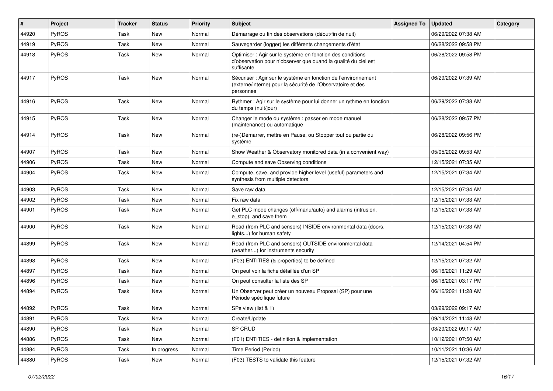| #     | Project | <b>Tracker</b> | <b>Status</b> | <b>Priority</b> | Subject                                                                                                                                    | <b>Assigned To</b> | <b>Updated</b>      | Category |
|-------|---------|----------------|---------------|-----------------|--------------------------------------------------------------------------------------------------------------------------------------------|--------------------|---------------------|----------|
| 44920 | PyROS   | Task           | <b>New</b>    | Normal          | Démarrage ou fin des observations (début/fin de nuit)                                                                                      |                    | 06/29/2022 07:38 AM |          |
| 44919 | PyROS   | Task           | <b>New</b>    | Normal          | Sauvegarder (logger) les différents changements d'état                                                                                     |                    | 06/28/2022 09:58 PM |          |
| 44918 | PyROS   | Task           | <b>New</b>    | Normal          | Optimiser : Agir sur le système en fonction des conditions<br>d'observation pour n'observer que quand la qualité du ciel est<br>suffisante |                    | 06/28/2022 09:58 PM |          |
| 44917 | PyROS   | Task           | <b>New</b>    | Normal          | Sécuriser : Agir sur le système en fonction de l'environnement<br>(externe/interne) pour la sécurité de l'Observatoire et des<br>personnes |                    | 06/29/2022 07:39 AM |          |
| 44916 | PyROS   | Task           | <b>New</b>    | Normal          | Rythmer : Agir sur le système pour lui donner un rythme en fonction<br>du temps (nuit/jour)                                                |                    | 06/29/2022 07:38 AM |          |
| 44915 | PyROS   | Task           | <b>New</b>    | Normal          | Changer le mode du système : passer en mode manuel<br>(maintenance) ou automatique                                                         |                    | 06/28/2022 09:57 PM |          |
| 44914 | PyROS   | Task           | <b>New</b>    | Normal          | (re-)Démarrer, mettre en Pause, ou Stopper tout ou partie du<br>système                                                                    |                    | 06/28/2022 09:56 PM |          |
| 44907 | PyROS   | Task           | <b>New</b>    | Normal          | Show Weather & Observatory monitored data (in a convenient way)                                                                            |                    | 05/05/2022 09:53 AM |          |
| 44906 | PyROS   | Task           | <b>New</b>    | Normal          | Compute and save Observing conditions                                                                                                      |                    | 12/15/2021 07:35 AM |          |
| 44904 | PyROS   | Task           | New           | Normal          | Compute, save, and provide higher level (useful) parameters and<br>synthesis from multiple detectors                                       |                    | 12/15/2021 07:34 AM |          |
| 44903 | PyROS   | Task           | New           | Normal          | Save raw data                                                                                                                              |                    | 12/15/2021 07:34 AM |          |
| 44902 | PyROS   | Task           | <b>New</b>    | Normal          | Fix raw data                                                                                                                               |                    | 12/15/2021 07:33 AM |          |
| 44901 | PyROS   | Task           | New           | Normal          | Get PLC mode changes (off/manu/auto) and alarms (intrusion,<br>e stop), and save them                                                      |                    | 12/15/2021 07:33 AM |          |
| 44900 | PyROS   | Task           | <b>New</b>    | Normal          | Read (from PLC and sensors) INSIDE environmental data (doors,<br>lights) for human safety                                                  |                    | 12/15/2021 07:33 AM |          |
| 44899 | PyROS   | Task           | <b>New</b>    | Normal          | Read (from PLC and sensors) OUTSIDE environmental data<br>(weather) for instruments security                                               |                    | 12/14/2021 04:54 PM |          |
| 44898 | PyROS   | Task           | <b>New</b>    | Normal          | (F03) ENTITIES (& properties) to be defined                                                                                                |                    | 12/15/2021 07:32 AM |          |
| 44897 | PyROS   | Task           | <b>New</b>    | Normal          | On peut voir la fiche détaillée d'un SP                                                                                                    |                    | 06/16/2021 11:29 AM |          |
| 44896 | PyROS   | Task           | <b>New</b>    | Normal          | On peut consulter la liste des SP                                                                                                          |                    | 06/18/2021 03:17 PM |          |
| 44894 | PyROS   | Task           | New           | Normal          | Un Observer peut créer un nouveau Proposal (SP) pour une<br>Période spécifique future                                                      |                    | 06/16/2021 11:28 AM |          |
| 44892 | PyROS   | Task           | <b>New</b>    | Normal          | SPs view (list & 1)                                                                                                                        |                    | 03/29/2022 09:17 AM |          |
| 44891 | PyROS   | Task           | New           | Normal          | Create/Update                                                                                                                              |                    | 09/14/2021 11:48 AM |          |
| 44890 | PyROS   | Task           | New           | Normal          | SP CRUD                                                                                                                                    |                    | 03/29/2022 09:17 AM |          |
| 44886 | PyROS   | Task           | New           | Normal          | (F01) ENTITIES - definition & implementation                                                                                               |                    | 10/12/2021 07:50 AM |          |
| 44884 | PyROS   | Task           | In progress   | Normal          | Time Period (Period)                                                                                                                       |                    | 10/11/2021 10:36 AM |          |
| 44880 | PyROS   | Task           | New           | Normal          | (F03) TESTS to validate this feature                                                                                                       |                    | 12/15/2021 07:32 AM |          |